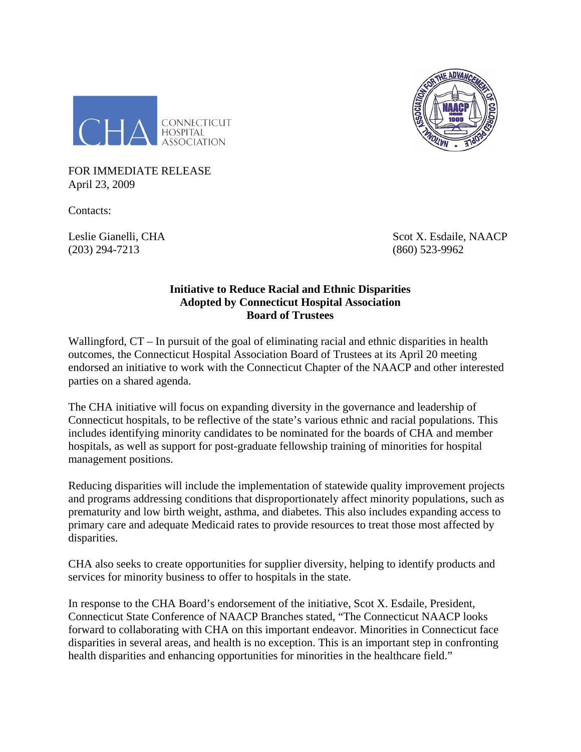



FOR IMMEDIATE RELEASE April 23, 2009

Contacts:

(203) 294-7213 (860) 523-9962

Leslie Gianelli, CHA Scot X. Esdaile, NAACP

## **Initiative to Reduce Racial and Ethnic Disparities Adopted by Connecticut Hospital Association Board of Trustees**

Wallingford,  $CT - In$  pursuit of the goal of eliminating racial and ethnic disparities in health outcomes, the Connecticut Hospital Association Board of Trustees at its April 20 meeting endorsed an initiative to work with the Connecticut Chapter of the NAACP and other interested parties on a shared agenda.

The CHA initiative will focus on expanding diversity in the governance and leadership of Connecticut hospitals, to be reflective of the state's various ethnic and racial populations. This includes identifying minority candidates to be nominated for the boards of CHA and member hospitals, as well as support for post-graduate fellowship training of minorities for hospital management positions.

Reducing disparities will include the implementation of statewide quality improvement projects and programs addressing conditions that disproportionately affect minority populations, such as prematurity and low birth weight, asthma, and diabetes. This also includes expanding access to primary care and adequate Medicaid rates to provide resources to treat those most affected by disparities.

CHA also seeks to create opportunities for supplier diversity, helping to identify products and services for minority business to offer to hospitals in the state.

In response to the CHA Board's endorsement of the initiative, Scot X. Esdaile, President, Connecticut State Conference of NAACP Branches stated, "The Connecticut NAACP looks forward to collaborating with CHA on this important endeavor. Minorities in Connecticut face disparities in several areas, and health is no exception. This is an important step in confronting health disparities and enhancing opportunities for minorities in the healthcare field."